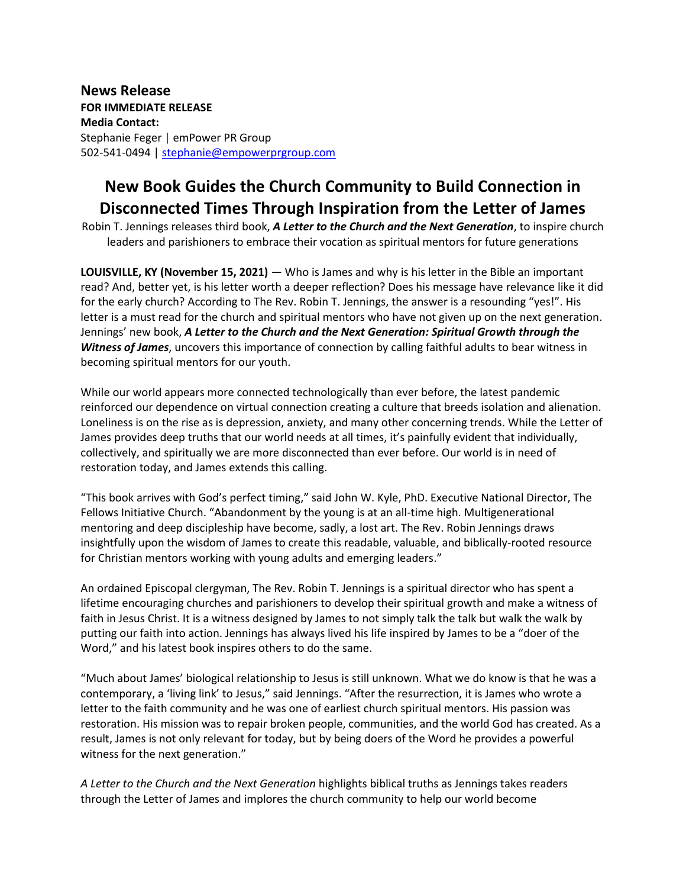**News Release FOR IMMEDIATE RELEASE Media Contact:** Stephanie Feger | emPower PR Group 502-541-0494 | [stephanie@empowerprgroup.com](mailto:stephanie@empowerprgroup.com)

## **New Book Guides the Church Community to Build Connection in Disconnected Times Through Inspiration from the Letter of James**

Robin T. Jennings releases third book, *A Letter to the Church and the Next Generation*, to inspire church leaders and parishioners to embrace their vocation as spiritual mentors for future generations

**LOUISVILLE, KY (November 15, 2021)** ― Who is James and why is his letter in the Bible an important read? And, better yet, is his letter worth a deeper reflection? Does his message have relevance like it did for the early church? According to The Rev. Robin T. Jennings, the answer is a resounding "yes!". His letter is a must read for the church and spiritual mentors who have not given up on the next generation. Jennings' new book, *A Letter to the Church and the Next Generation: Spiritual Growth through the Witness of James*, uncovers this importance of connection by calling faithful adults to bear witness in becoming spiritual mentors for our youth.

While our world appears more connected technologically than ever before, the latest pandemic reinforced our dependence on virtual connection creating a culture that breeds isolation and alienation. Loneliness is on the rise as is depression, anxiety, and many other concerning trends. While the Letter of James provides deep truths that our world needs at all times, it's painfully evident that individually, collectively, and spiritually we are more disconnected than ever before. Our world is in need of restoration today, and James extends this calling.

"This book arrives with God's perfect timing," said John W. Kyle, PhD. Executive National Director, The Fellows Initiative Church. "Abandonment by the young is at an all-time high. Multigenerational mentoring and deep discipleship have become, sadly, a lost art. The Rev. Robin Jennings draws insightfully upon the wisdom of James to create this readable, valuable, and biblically-rooted resource for Christian mentors working with young adults and emerging leaders."

An ordained Episcopal clergyman, The Rev. Robin T. Jennings is a spiritual director who has spent a lifetime encouraging churches and parishioners to develop their spiritual growth and make a witness of faith in Jesus Christ. It is a witness designed by James to not simply talk the talk but walk the walk by putting our faith into action. Jennings has always lived his life inspired by James to be a "doer of the Word," and his latest book inspires others to do the same.

"Much about James' biological relationship to Jesus is still unknown. What we do know is that he was a contemporary, a 'living link' to Jesus," said Jennings. "After the resurrection, it is James who wrote a letter to the faith community and he was one of earliest church spiritual mentors. His passion was restoration. His mission was to repair broken people, communities, and the world God has created. As a result, James is not only relevant for today, but by being doers of the Word he provides a powerful witness for the next generation."

*A Letter to the Church and the Next Generation* highlights biblical truths as Jennings takes readers through the Letter of James and implores the church community to help our world become